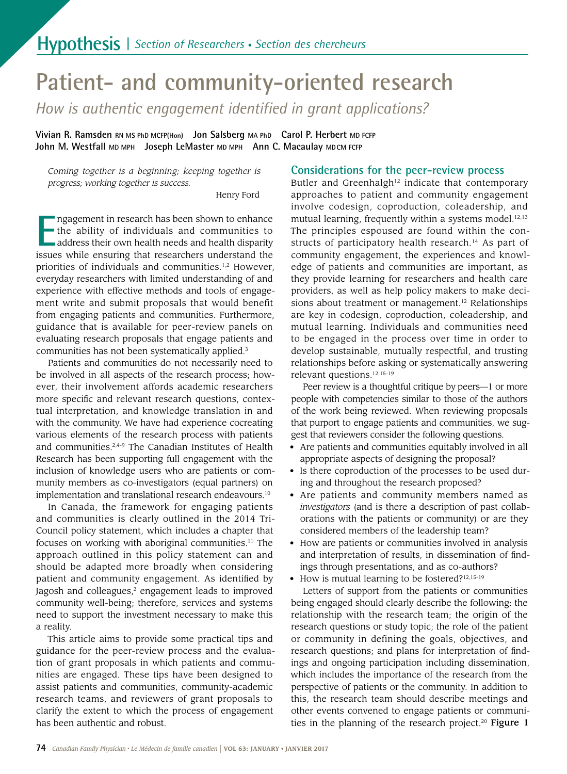# **Patient- and community-oriented research**

*How is authentic engagement identifed in grant applications?* 

 **Vivian R. Ramsden RN MS PhD MCFP(Hon) Jon Salsberg MA PhD Carol P. Herbert MD FCFP John M. Westfall MD MPH Joseph LeMaster MD MPH Ann C. Macaulay MDCM FCFP** 

*Coming together is a beginning; keeping together is progress; working together is success.* 

Henry Ford

Impagement in research has been shown to enhance<br>the ability of individuals and communities to<br>address their own health needs and health disparity<br>issues while ensuring that researchers understand the ngagement in research has been shown to enhance the ability of individuals and communities to address their own health needs and health disparity priorities of individuals and communities.<sup>1,2</sup> However, everyday researchers with limited understanding of and experience with effective methods and tools of engagement write and submit proposals that would benefit from engaging patients and communities. Furthermore, guidance that is available for peer-review panels on evaluating research proposals that engage patients and communities has not been systematically applied.<sup>3</sup>

 tual interpretation, and knowledge translation in and various elements of the research process with patients inclusion of knowledge users who are patients or com-Patients and communities do not necessarily need to be involved in all aspects of the research process; however, their involvement affords academic researchers more specifc and relevant research questions, contexwith the community. We have had experience cocreating and communities.2,4-9 The Canadian Institutes of Health Research has been supporting full engagement with the munity members as co-investigators (equal partners) on implementation and translational research endeavours.<sup>10</sup>

In Canada, the framework for engaging patients and communities is clearly outlined in the 2014 Tri-Council policy statement, which includes a chapter that focuses on working with aboriginal communities.<sup>11</sup> The approach outlined in this policy statement can and should be adapted more broadly when considering patient and community engagement. As identifed by Jagosh and colleagues,<sup>2</sup> engagement leads to improved community well-being; therefore, services and systems need to support the investment necessary to make this a reality.

This article aims to provide some practical tips and guidance for the peer-review process and the evaluation of grant proposals in which patients and communities are engaged. These tips have been designed to assist patients and communities, community-academic research teams, and reviewers of grant proposals to clarify the extent to which the process of engagement has been authentic and robust.

## **Considerations for the peer-review process**

Butler and Greenhalgh<sup>12</sup> indicate that contemporary approaches to patient and community engagement involve codesign, coproduction, coleadership, and mutual learning, frequently within a systems model.<sup>12,13</sup> The principles espoused are found within the constructs of participatory health research.<sup>14</sup> As part of community engagement, the experiences and knowledge of patients and communities are important, as they provide learning for researchers and health care providers, as well as help policy makers to make decisions about treatment or management.<sup>12</sup> Relationships are key in codesign, coproduction, coleadership, and mutual learning. Individuals and communities need to be engaged in the process over time in order to develop sustainable, mutually respectful, and trusting relationships before asking or systematically answering relevant questions.12,15-19

 of the work being reviewed. When reviewing proposals Peer review is a thoughtful critique by peers—1 or more people with competencies similar to those of the authors that purport to engage patients and communities, we suggest that reviewers consider the following questions.

- Are patients and communities equitably involved in all appropriate aspects of designing the proposal?
- Is there coproduction of the processes to be used during and throughout the research proposed?
- Are patients and community members named as *investigators* (and is there a description of past collaborations with the patients or community) or are they considered members of the leadership team?
- How are patients or communities involved in analysis and interpretation of results, in dissemination of fndings through presentations, and as co-authors?
- How is mutual learning to be fostered?<sup>12,15-19</sup>

ties in the planning of the research project.<sup>20</sup> Fi**gure 1** Letters of support from the patients or communities being engaged should clearly describe the following: the relationship with the research team; the origin of the research questions or study topic; the role of the patient or community in defining the goals, objectives, and research questions; and plans for interpretation of fndings and ongoing participation including dissemination, which includes the importance of the research from the perspective of patients or the community. In addition to this, the research team should describe meetings and other events convened to engage patients or communi-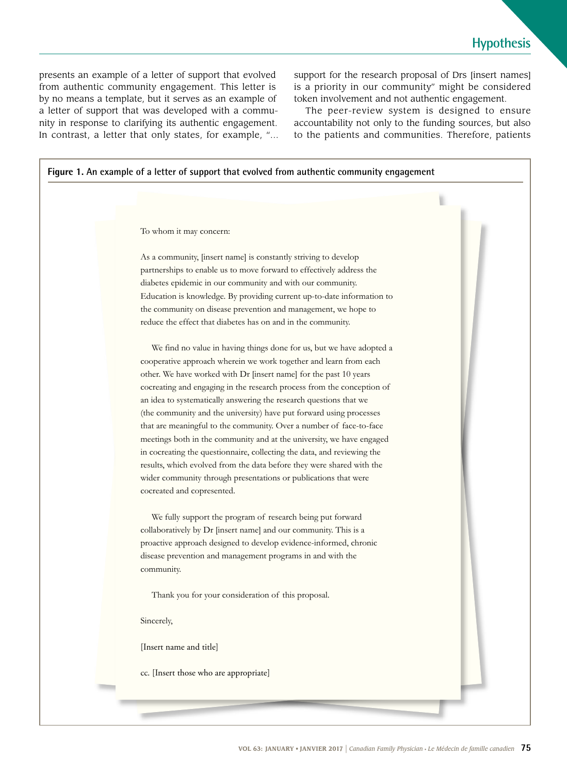nity in response to clarifying its authentic engagement. presents an example of a letter of support that evolved from authentic community engagement. This letter is by no means a template, but it serves as an example of a letter of support that was developed with a commu-In contrast, a letter that only states, for example, "… support for the research proposal of Drs [insert names] is a priority in our community" might be considered token involvement and not authentic engagement.

 to the patients and communities. Therefore, patients The peer-review system is designed to ensure accountability not only to the funding sources, but also